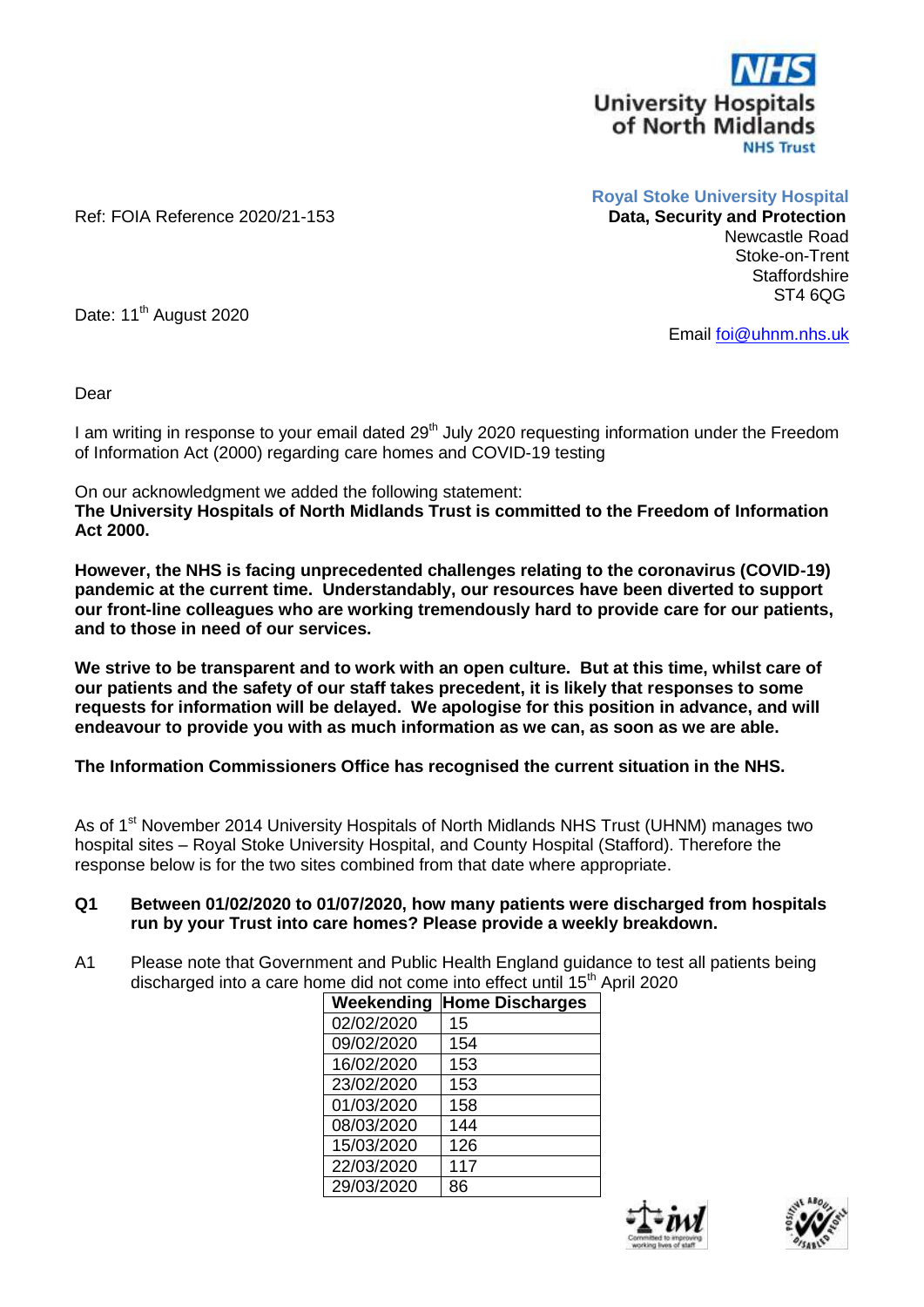

Ref: FOIA Reference 2020/21-153

**Royal Stoke University Hospital**

Newcastle Road Stoke-on-Trent **Staffordshire** ST4 6QG

Date: 11<sup>th</sup> August 2020

Email [foi@uhnm.nhs.uk](mailto:foi@uhnm.nhs.uk)

Dear

I am writing in response to your email dated  $29<sup>th</sup>$  July 2020 requesting information under the Freedom of Information Act (2000) regarding care homes and COVID-19 testing

On our acknowledgment we added the following statement:

**The University Hospitals of North Midlands Trust is committed to the Freedom of Information Act 2000.**

**However, the NHS is facing unprecedented challenges relating to the coronavirus (COVID-19) pandemic at the current time. Understandably, our resources have been diverted to support our front-line colleagues who are working tremendously hard to provide care for our patients, and to those in need of our services.**

**We strive to be transparent and to work with an open culture. But at this time, whilst care of our patients and the safety of our staff takes precedent, it is likely that responses to some requests for information will be delayed. We apologise for this position in advance, and will endeavour to provide you with as much information as we can, as soon as we are able.**

**The Information Commissioners Office has recognised the current situation in the NHS.**

As of 1<sup>st</sup> November 2014 University Hospitals of North Midlands NHS Trust (UHNM) manages two hospital sites – Royal Stoke University Hospital, and County Hospital (Stafford). Therefore the response below is for the two sites combined from that date where appropriate.

## **Q1 Between 01/02/2020 to 01/07/2020, how many patients were discharged from hospitals run by your Trust into care homes? Please provide a weekly breakdown.**

A1 Please note that Government and Public Health England guidance to test all patients being discharged into a care home did not come into effect until 15<sup>th</sup> April 2020

| Weekending | <b>Home Discharges</b> |
|------------|------------------------|
| 02/02/2020 | 15                     |
| 09/02/2020 | 154                    |
| 16/02/2020 | 153                    |
| 23/02/2020 | 153                    |
| 01/03/2020 | 158                    |
| 08/03/2020 | 144                    |
| 15/03/2020 | 126                    |
| 22/03/2020 | 117                    |
| 29/03/2020 | 86                     |



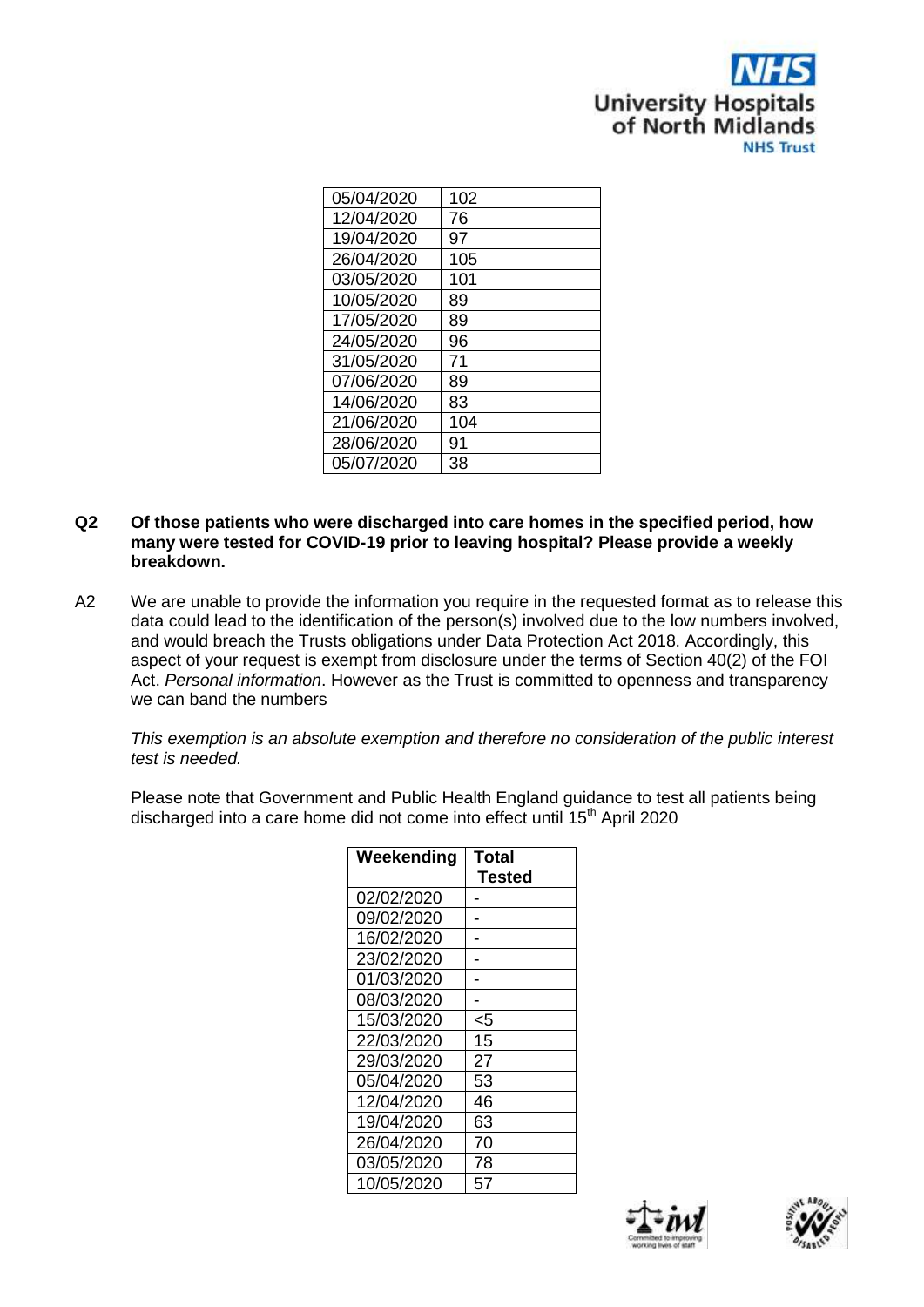

| 05/04/2020 | 102 |
|------------|-----|
| 12/04/2020 | 76  |
| 19/04/2020 | 97  |
| 26/04/2020 | 105 |
| 03/05/2020 | 101 |
| 10/05/2020 | 89  |
| 17/05/2020 | 89  |
| 24/05/2020 | 96  |
| 31/05/2020 | 71  |
| 07/06/2020 | 89  |
| 14/06/2020 | 83  |
| 21/06/2020 | 104 |
| 28/06/2020 | 91  |
| 05/07/2020 | 38  |

- **Q2 Of those patients who were discharged into care homes in the specified period, how many were tested for COVID-19 prior to leaving hospital? Please provide a weekly breakdown.**
- A2 We are unable to provide the information you require in the requested format as to release this data could lead to the identification of the person(s) involved due to the low numbers involved, and would breach the Trusts obligations under Data Protection Act 2018. Accordingly, this aspect of your request is exempt from disclosure under the terms of Section 40(2) of the FOI Act. *Personal information*. However as the Trust is committed to openness and transparency we can band the numbers

*This exemption is an absolute exemption and therefore no consideration of the public interest test is needed.*

Please note that Government and Public Health England guidance to test all patients being discharged into a care home did not come into effect until 15<sup>th</sup> April 2020

| Weekending | Total<br><b>Tested</b> |
|------------|------------------------|
| 02/02/2020 |                        |
| 09/02/2020 |                        |
| 16/02/2020 |                        |
| 23/02/2020 |                        |
| 01/03/2020 |                        |
| 08/03/2020 |                        |
| 15/03/2020 | <5                     |
| 22/03/2020 | 15                     |
| 29/03/2020 | 27                     |
| 05/04/2020 | 53                     |
| 12/04/2020 | 46                     |
| 19/04/2020 | 63                     |
| 26/04/2020 | 70                     |
| 03/05/2020 | 78                     |
| 10/05/2020 | 57                     |



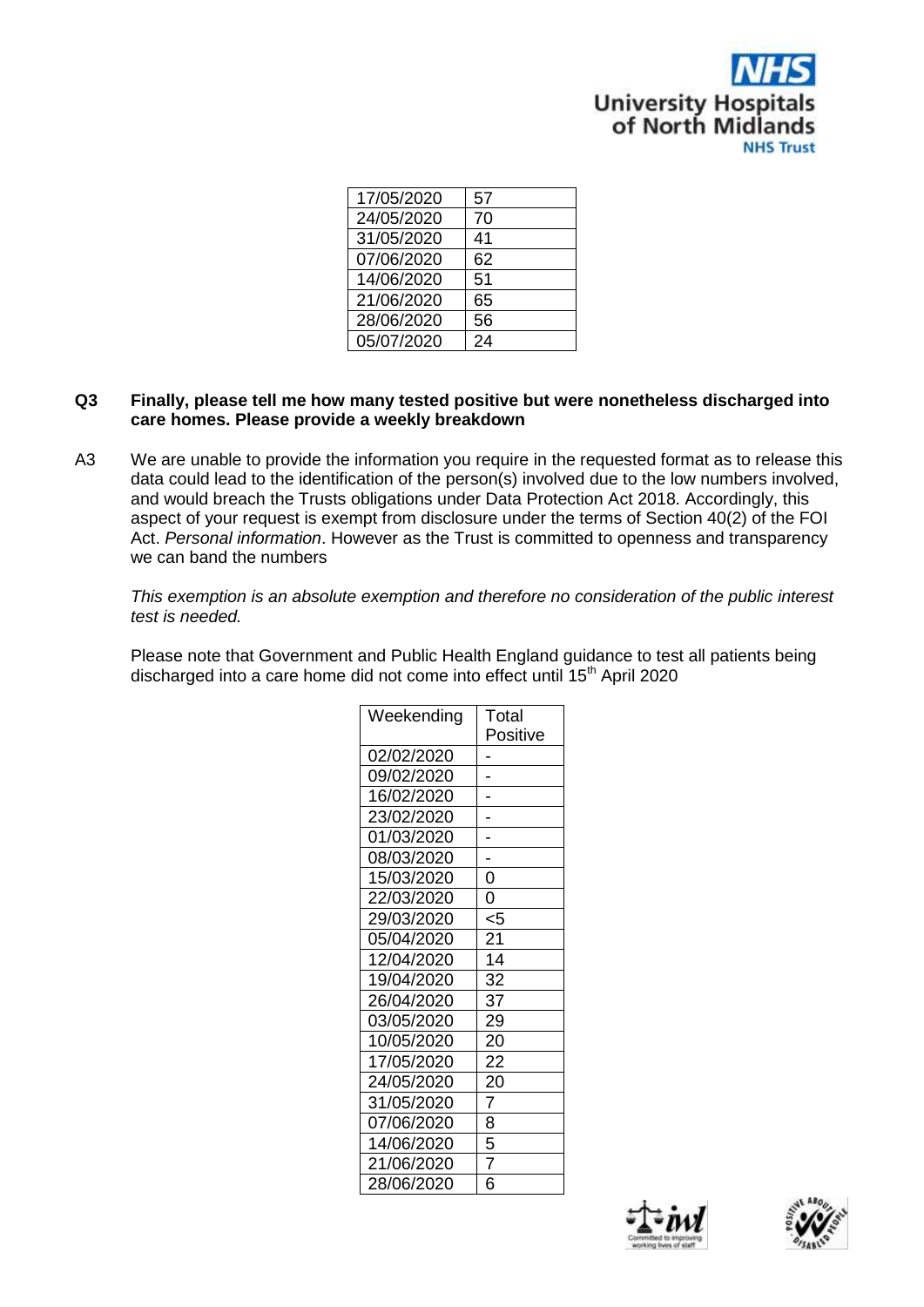

| 17/05/2020 | 57 |
|------------|----|
| 24/05/2020 | 70 |
| 31/05/2020 | 41 |
| 07/06/2020 | 62 |
| 14/06/2020 | 51 |
| 21/06/2020 | 65 |
| 28/06/2020 | 56 |
| 05/07/2020 | 24 |

## **Q3 Finally, please tell me how many tested positive but were nonetheless discharged into care homes. Please provide a weekly breakdown**

A3 We are unable to provide the information you require in the requested format as to release this data could lead to the identification of the person(s) involved due to the low numbers involved, and would breach the Trusts obligations under Data Protection Act 2018. Accordingly, this aspect of your request is exempt from disclosure under the terms of Section 40(2) of the FOI Act. *Personal information*. However as the Trust is committed to openness and transparency we can band the numbers

*This exemption is an absolute exemption and therefore no consideration of the public interest test is needed.*

Please note that Government and Public Health England guidance to test all patients being discharged into a care home did not come into effect until 15<sup>th</sup> April 2020

| Weekending | Total          |
|------------|----------------|
|            | Positive       |
| 02/02/2020 |                |
| 09/02/2020 |                |
| 16/02/2020 |                |
| 23/02/2020 |                |
| 01/03/2020 |                |
| 08/03/2020 |                |
| 15/03/2020 | 0              |
| 22/03/2020 | 0              |
| 29/03/2020 | <5             |
| 05/04/2020 | 21             |
| 12/04/2020 | 14             |
| 19/04/2020 | 32             |
| 26/04/2020 | 37             |
| 03/05/2020 | 29             |
| 10/05/2020 | 20             |
| 17/05/2020 | 22             |
| 24/05/2020 | 20             |
| 31/05/2020 | $\overline{7}$ |
| 07/06/2020 | 8              |
| 14/06/2020 | 5              |
| 21/06/2020 | 7              |
| 28/06/2020 | 6              |



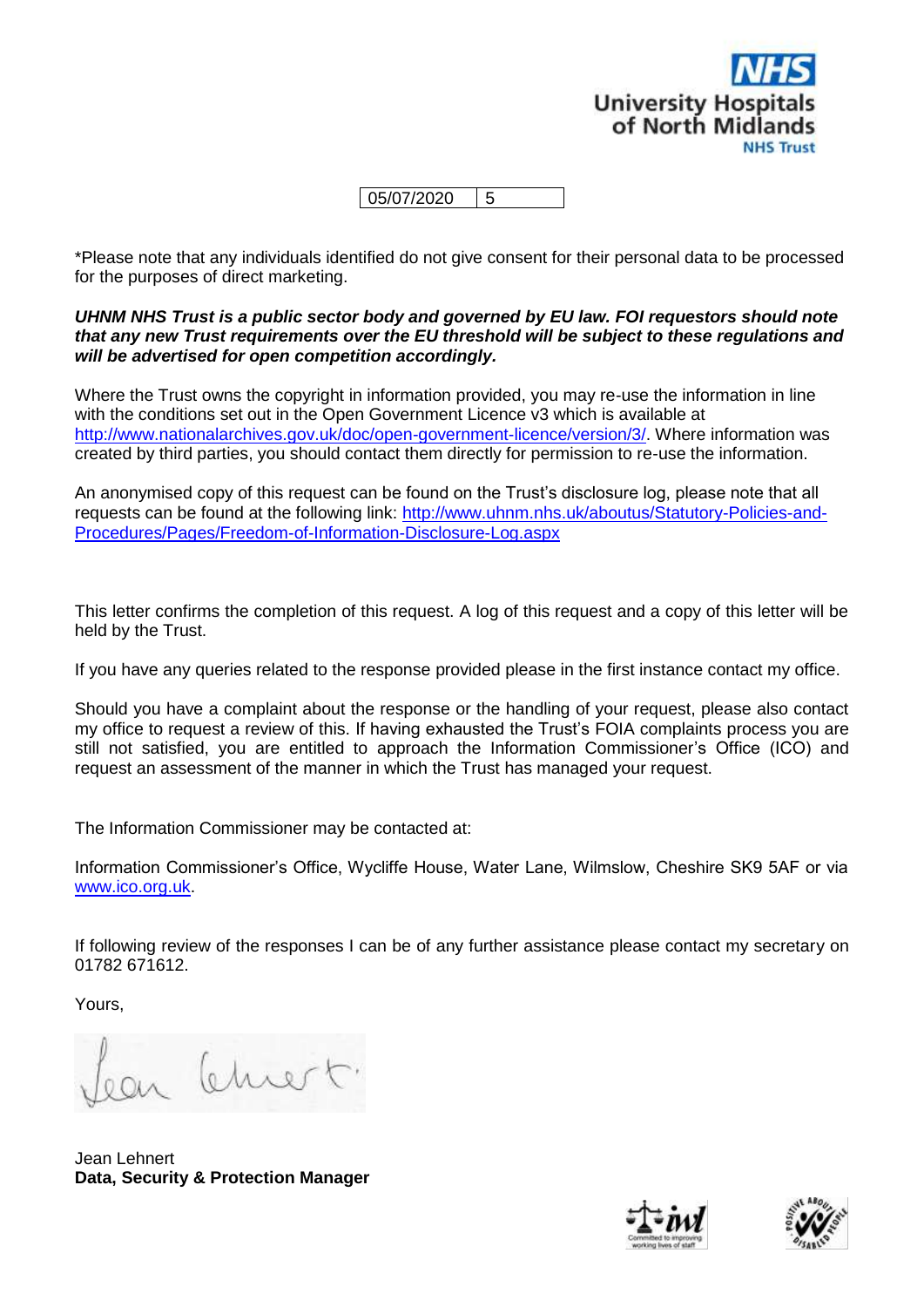

05/07/2020 5

\*Please note that any individuals identified do not give consent for their personal data to be processed for the purposes of direct marketing.

## *UHNM NHS Trust is a public sector body and governed by EU law. FOI requestors should note that any new Trust requirements over the EU threshold will be subject to these regulations and will be advertised for open competition accordingly.*

Where the Trust owns the copyright in information provided, you may re-use the information in line with the conditions set out in the Open Government Licence v3 which is available at [http://www.nationalarchives.gov.uk/doc/open-government-licence/version/3/.](http://www.nationalarchives.gov.uk/doc/open-government-licence/version/3/) Where information was created by third parties, you should contact them directly for permission to re-use the information.

An anonymised copy of this request can be found on the Trust's disclosure log, please note that all requests can be found at the following link: [http://www.uhnm.nhs.uk/aboutus/Statutory-Policies-and-](http://www.uhnm.nhs.uk/aboutus/Statutory-Policies-and-Procedures/Pages/Freedom-of-Information-Disclosure-Log.aspx)[Procedures/Pages/Freedom-of-Information-Disclosure-Log.aspx](http://www.uhnm.nhs.uk/aboutus/Statutory-Policies-and-Procedures/Pages/Freedom-of-Information-Disclosure-Log.aspx)

This letter confirms the completion of this request. A log of this request and a copy of this letter will be held by the Trust.

If you have any queries related to the response provided please in the first instance contact my office.

Should you have a complaint about the response or the handling of your request, please also contact my office to request a review of this. If having exhausted the Trust's FOIA complaints process you are still not satisfied, you are entitled to approach the Information Commissioner's Office (ICO) and request an assessment of the manner in which the Trust has managed your request.

The Information Commissioner may be contacted at:

Information Commissioner's Office, Wycliffe House, Water Lane, Wilmslow, Cheshire SK9 5AF or via [www.ico.org.uk.](http://www.ico.org.uk/)

If following review of the responses I can be of any further assistance please contact my secretary on 01782 671612.

Yours,

ear Chront

Jean Lehnert **Data, Security & Protection Manager**